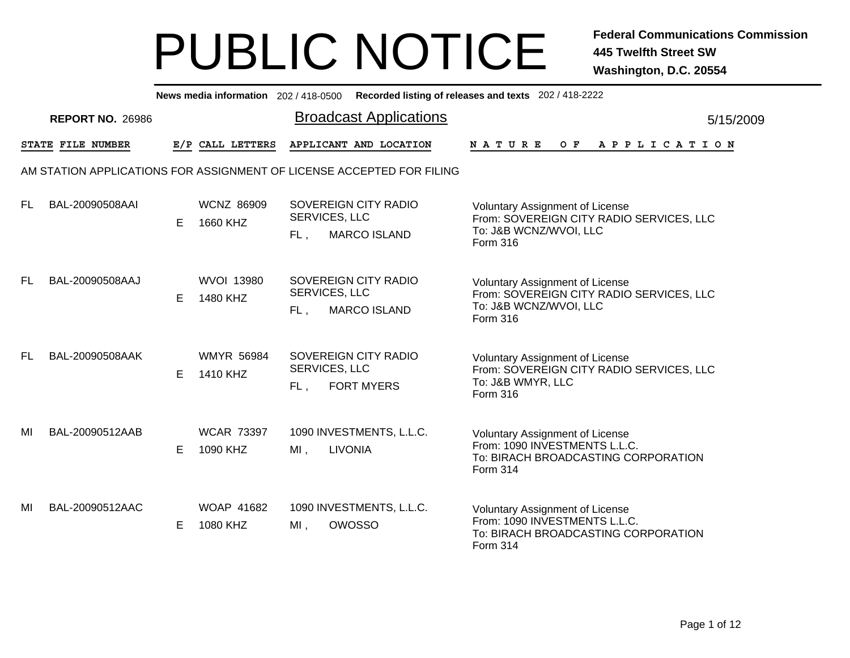|     |                         |    |                               |                      |                                                                       | News media information 202 / 418-0500 Recorded listing of releases and texts 202 / 418-2222                                |
|-----|-------------------------|----|-------------------------------|----------------------|-----------------------------------------------------------------------|----------------------------------------------------------------------------------------------------------------------------|
|     | <b>REPORT NO. 26986</b> |    |                               |                      | <b>Broadcast Applications</b>                                         | 5/15/2009                                                                                                                  |
|     | STATE FILE NUMBER       |    | E/P CALL LETTERS              |                      | APPLICANT AND LOCATION                                                | NATURE<br>O F<br>A P P L I C A T I O N                                                                                     |
|     |                         |    |                               |                      | AM STATION APPLICATIONS FOR ASSIGNMENT OF LICENSE ACCEPTED FOR FILING |                                                                                                                            |
| FL. | BAL-20090508AAI         | E. | <b>WCNZ 86909</b><br>1660 KHZ | SERVICES, LLC<br>FL, | SOVEREIGN CITY RADIO<br><b>MARCO ISLAND</b>                           | <b>Voluntary Assignment of License</b><br>From: SOVEREIGN CITY RADIO SERVICES, LLC<br>To: J&B WCNZ/WVOI, LLC<br>Form 316   |
| FL  | BAL-20090508AAJ         | E. | <b>WVOI 13980</b><br>1480 KHZ | SERVICES, LLC<br>FL, | SOVEREIGN CITY RADIO<br><b>MARCO ISLAND</b>                           | Voluntary Assignment of License<br>From: SOVEREIGN CITY RADIO SERVICES, LLC<br>To: J&B WCNZ/WVOI, LLC<br>Form 316          |
| FL. | BAL-20090508AAK         | E. | <b>WMYR 56984</b><br>1410 KHZ | SERVICES, LLC<br>FL, | SOVEREIGN CITY RADIO<br><b>FORT MYERS</b>                             | Voluntary Assignment of License<br>From: SOVEREIGN CITY RADIO SERVICES, LLC<br>To: J&B WMYR, LLC<br>Form 316               |
| MI  | BAL-20090512AAB         | E. | <b>WCAR 73397</b><br>1090 KHZ | MI,                  | 1090 INVESTMENTS, L.L.C.<br><b>LIVONIA</b>                            | Voluntary Assignment of License<br>From: 1090 INVESTMENTS L.L.C.<br>To: BIRACH BROADCASTING CORPORATION<br>Form 314        |
| MI  | BAL-20090512AAC         | E  | <b>WOAP 41682</b><br>1080 KHZ | $MI$ ,               | 1090 INVESTMENTS, L.L.C.<br>OWOSSO                                    | <b>Voluntary Assignment of License</b><br>From: 1090 INVESTMENTS L.L.C.<br>To: BIRACH BROADCASTING CORPORATION<br>Form 314 |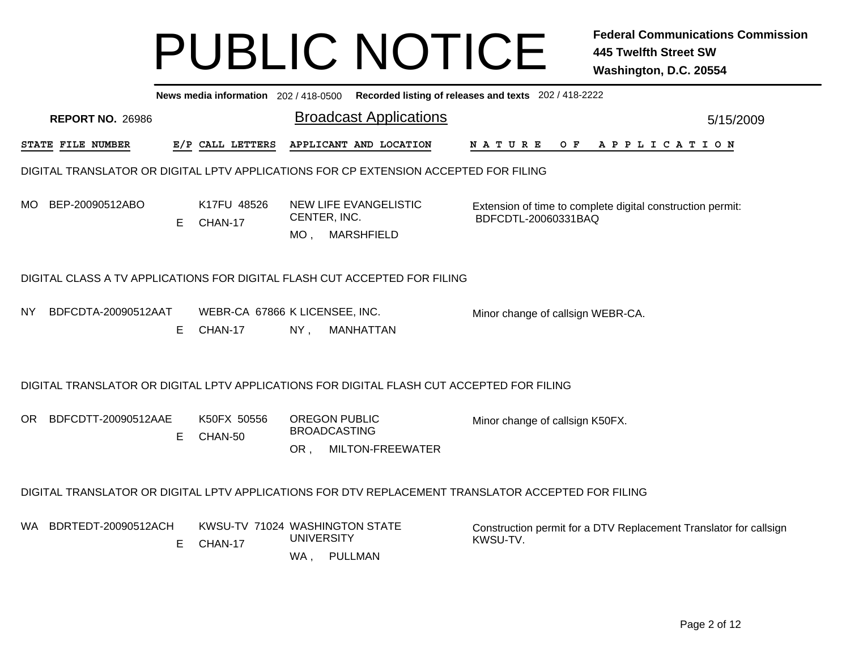|     |                                                                                                    |    |                                           |                                                    | News media information 202 / 418-0500 Recorded listing of releases and texts 202 / 418-2222 |          |                     |  |                                                            |  |  |  |                                                                   |
|-----|----------------------------------------------------------------------------------------------------|----|-------------------------------------------|----------------------------------------------------|---------------------------------------------------------------------------------------------|----------|---------------------|--|------------------------------------------------------------|--|--|--|-------------------------------------------------------------------|
|     | <b>REPORT NO. 26986</b>                                                                            |    |                                           |                                                    | <b>Broadcast Applications</b>                                                               |          |                     |  |                                                            |  |  |  | 5/15/2009                                                         |
|     | STATE FILE NUMBER                                                                                  |    | E/P CALL LETTERS                          |                                                    | APPLICANT AND LOCATION                                                                      |          |                     |  | NATURE OF APPLICATION                                      |  |  |  |                                                                   |
|     | DIGITAL TRANSLATOR OR DIGITAL LPTV APPLICATIONS FOR CP EXTENSION ACCEPTED FOR FILING               |    |                                           |                                                    |                                                                                             |          |                     |  |                                                            |  |  |  |                                                                   |
|     | MO BEP-20090512ABO                                                                                 | E  | K17FU 48526<br>CHAN-17                    | CENTER, INC.<br>$MO$ ,                             | NEW LIFE EVANGELISTIC<br><b>MARSHFIELD</b>                                                  |          | BDFCDTL-20060331BAQ |  | Extension of time to complete digital construction permit: |  |  |  |                                                                   |
|     | DIGITAL CLASS A TV APPLICATIONS FOR DIGITAL FLASH CUT ACCEPTED FOR FILING                          |    |                                           |                                                    |                                                                                             |          |                     |  |                                                            |  |  |  |                                                                   |
| NY. | BDFCDTA-20090512AAT                                                                                | E. | WEBR-CA 67866 K LICENSEE, INC.<br>CHAN-17 | $NY$ ,                                             | MANHATTAN                                                                                   |          |                     |  | Minor change of callsign WEBR-CA.                          |  |  |  |                                                                   |
|     | DIGITAL TRANSLATOR OR DIGITAL LPTV APPLICATIONS FOR DIGITAL FLASH CUT ACCEPTED FOR FILING          |    |                                           |                                                    |                                                                                             |          |                     |  |                                                            |  |  |  |                                                                   |
|     | OR BDFCDTT-20090512AAE                                                                             | Е  | K50FX 50556<br>CHAN-50                    | <b>OREGON PUBLIC</b><br><b>BROADCASTING</b><br>OR, | MILTON-FREEWATER                                                                            |          |                     |  | Minor change of callsign K50FX.                            |  |  |  |                                                                   |
|     | DIGITAL TRANSLATOR OR DIGITAL LPTV APPLICATIONS FOR DTV REPLACEMENT TRANSLATOR ACCEPTED FOR FILING |    |                                           |                                                    |                                                                                             |          |                     |  |                                                            |  |  |  |                                                                   |
|     | WA BDRTEDT-20090512ACH                                                                             | Е  | KWSU-TV 71024 WASHINGTON STATE<br>CHAN-17 | <b>UNIVERSITY</b><br>WA,<br>PULLMAN                |                                                                                             | KWSU-TV. |                     |  |                                                            |  |  |  | Construction permit for a DTV Replacement Translator for callsign |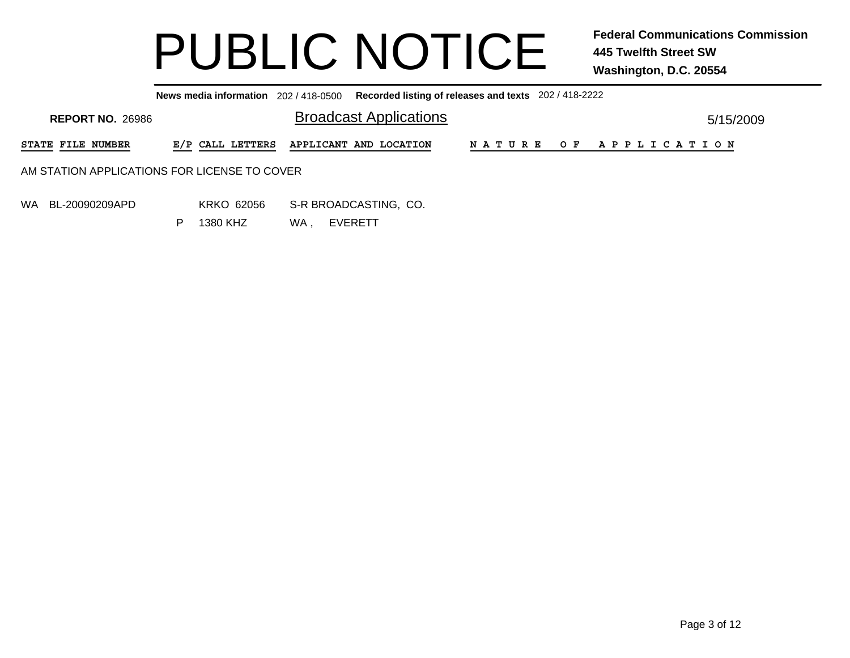**News media information** 202 / 418-0500**Recorded listing of releases and texts** 202 / 418-2222

| <b>REPORT NO. 26986</b>                       | <b>Broadcast Applications</b>           | 5/15/2009 |                       |  |
|-----------------------------------------------|-----------------------------------------|-----------|-----------------------|--|
| <b>STATE FILE NUMBER</b>                      | E/P CALL LETTERS APPLICANT AND LOCATION |           | NATURE OF APPLICATION |  |
| AM STATION APPLICATIONS FOR LICENSE TO COVER- |                                         |           |                       |  |
|                                               |                                         |           |                       |  |

WA BL-20090209APD

 KRKO 62056 S-R BROADCASTING, CO. WA , EVERETT 1380 KHZ

P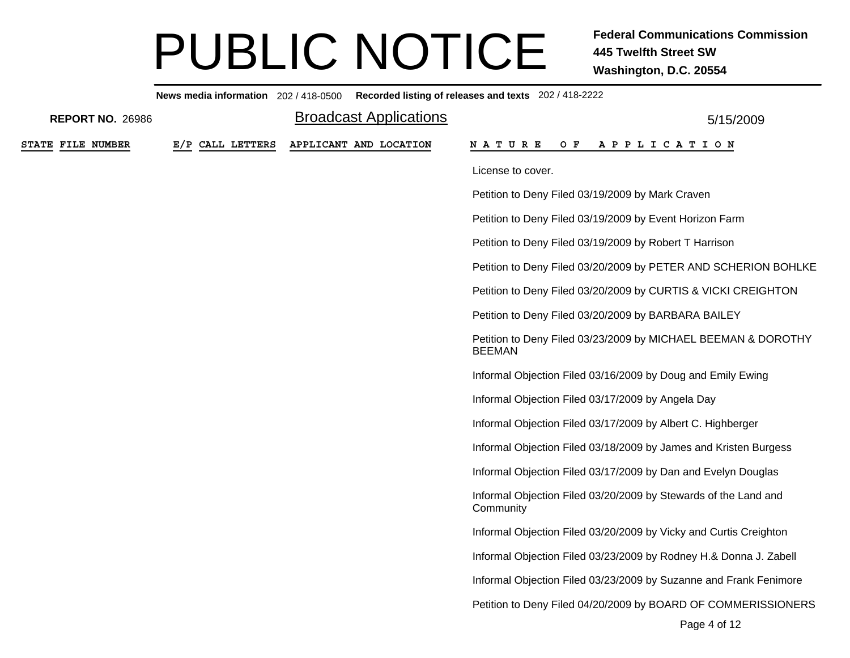|                         |                  | News media information 202/418-0500 Recorded listing of releases and texts 202/418-2222 |                                                                                |
|-------------------------|------------------|-----------------------------------------------------------------------------------------|--------------------------------------------------------------------------------|
| <b>REPORT NO. 26986</b> |                  | <b>Broadcast Applications</b>                                                           | 5/15/2009                                                                      |
| STATE FILE NUMBER       | E/P CALL LETTERS | APPLICANT AND LOCATION                                                                  | OF APPLICATION<br>N A T U R E                                                  |
|                         |                  |                                                                                         | License to cover.                                                              |
|                         |                  |                                                                                         | Petition to Deny Filed 03/19/2009 by Mark Craven                               |
|                         |                  |                                                                                         | Petition to Deny Filed 03/19/2009 by Event Horizon Farm                        |
|                         |                  |                                                                                         | Petition to Deny Filed 03/19/2009 by Robert T Harrison                         |
|                         |                  |                                                                                         | Petition to Deny Filed 03/20/2009 by PETER AND SCHERION BOHLKE                 |
|                         |                  |                                                                                         | Petition to Deny Filed 03/20/2009 by CURTIS & VICKI CREIGHTON                  |
|                         |                  |                                                                                         | Petition to Deny Filed 03/20/2009 by BARBARA BAILEY                            |
|                         |                  |                                                                                         | Petition to Deny Filed 03/23/2009 by MICHAEL BEEMAN & DOROTHY<br><b>BEEMAN</b> |
|                         |                  |                                                                                         | Informal Objection Filed 03/16/2009 by Doug and Emily Ewing                    |
|                         |                  |                                                                                         | Informal Objection Filed 03/17/2009 by Angela Day                              |
|                         |                  |                                                                                         | Informal Objection Filed 03/17/2009 by Albert C. Highberger                    |
|                         |                  |                                                                                         | Informal Objection Filed 03/18/2009 by James and Kristen Burgess               |
|                         |                  |                                                                                         | Informal Objection Filed 03/17/2009 by Dan and Evelyn Douglas                  |
|                         |                  |                                                                                         | Informal Objection Filed 03/20/2009 by Stewards of the Land and<br>Community   |
|                         |                  |                                                                                         | Informal Objection Filed 03/20/2009 by Vicky and Curtis Creighton              |
|                         |                  |                                                                                         | Informal Objection Filed 03/23/2009 by Rodney H.& Donna J. Zabell              |
|                         |                  |                                                                                         | Informal Objection Filed 03/23/2009 by Suzanne and Frank Fenimore              |
|                         |                  |                                                                                         | Petition to Deny Filed 04/20/2009 by BOARD OF COMMERISSIONERS                  |
|                         |                  |                                                                                         | Page 4 of 12                                                                   |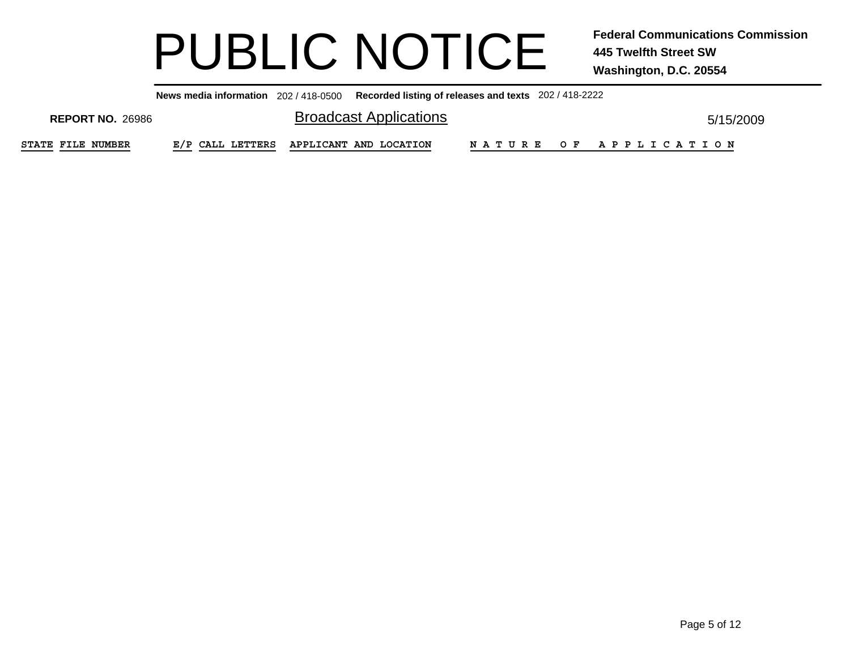**News media information** 202 / 418-0500**Recorded listing of releases and texts** 202 / 418-2222

| <b>REPORT NO. 26986</b>  | <b>Broadcast Applications</b>           |  |                       | 5/15/2009 |
|--------------------------|-----------------------------------------|--|-----------------------|-----------|
| <b>STATE FILE NUMBER</b> | E/P CALL LETTERS APPLICANT AND LOCATION |  | NATURE OF APPLICATION |           |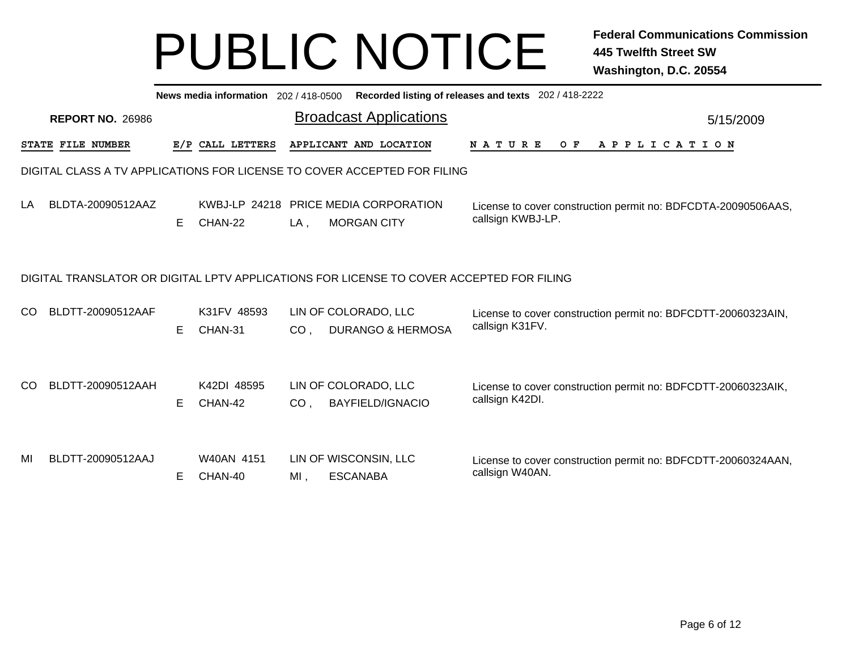|     | News media information 202 / 418-0500<br>Recorded listing of releases and texts 202 / 418-2222 |   |                          |                 |                                                                          |                                                                                    |           |  |  |  |
|-----|------------------------------------------------------------------------------------------------|---|--------------------------|-----------------|--------------------------------------------------------------------------|------------------------------------------------------------------------------------|-----------|--|--|--|
|     | <b>REPORT NO. 26986</b>                                                                        |   |                          |                 | <b>Broadcast Applications</b>                                            |                                                                                    | 5/15/2009 |  |  |  |
|     | STATE FILE NUMBER                                                                              |   | E/P CALL LETTERS         |                 | APPLICANT AND LOCATION                                                   | <b>NATURE</b><br>O F<br>A P P L I C A T I O N                                      |           |  |  |  |
|     |                                                                                                |   |                          |                 | DIGITAL CLASS A TV APPLICATIONS FOR LICENSE TO COVER ACCEPTED FOR FILING |                                                                                    |           |  |  |  |
| LA  | BLDTA-20090512AAZ                                                                              | E | KWBJ-LP 24218<br>CHAN-22 | $LA$ ,          | <b>PRICE MEDIA CORPORATION</b><br><b>MORGAN CITY</b>                     | License to cover construction permit no: BDFCDTA-20090506AAS,<br>callsign KWBJ-LP. |           |  |  |  |
|     | DIGITAL TRANSLATOR OR DIGITAL LPTV APPLICATIONS FOR LICENSE TO COVER ACCEPTED FOR FILING       |   |                          |                 |                                                                          |                                                                                    |           |  |  |  |
| CO. | BLDTT-20090512AAF                                                                              | E | K31FV 48593<br>CHAN-31   | CO <sub>1</sub> | LIN OF COLORADO, LLC<br><b>DURANGO &amp; HERMOSA</b>                     | License to cover construction permit no: BDFCDTT-20060323AIN,<br>callsign K31FV.   |           |  |  |  |
| CO. | BLDTT-20090512AAH                                                                              | E | K42DI 48595<br>CHAN-42   | CO <sub>1</sub> | LIN OF COLORADO, LLC<br><b>BAYFIELD/IGNACIO</b>                          | License to cover construction permit no: BDFCDTT-20060323AIK,<br>callsign K42DI.   |           |  |  |  |
| MI  | BLDTT-20090512AAJ                                                                              | Е | W40AN 4151<br>CHAN-40    | MI,             | LIN OF WISCONSIN, LLC<br><b>ESCANABA</b>                                 | License to cover construction permit no: BDFCDTT-20060324AAN,<br>callsign W40AN.   |           |  |  |  |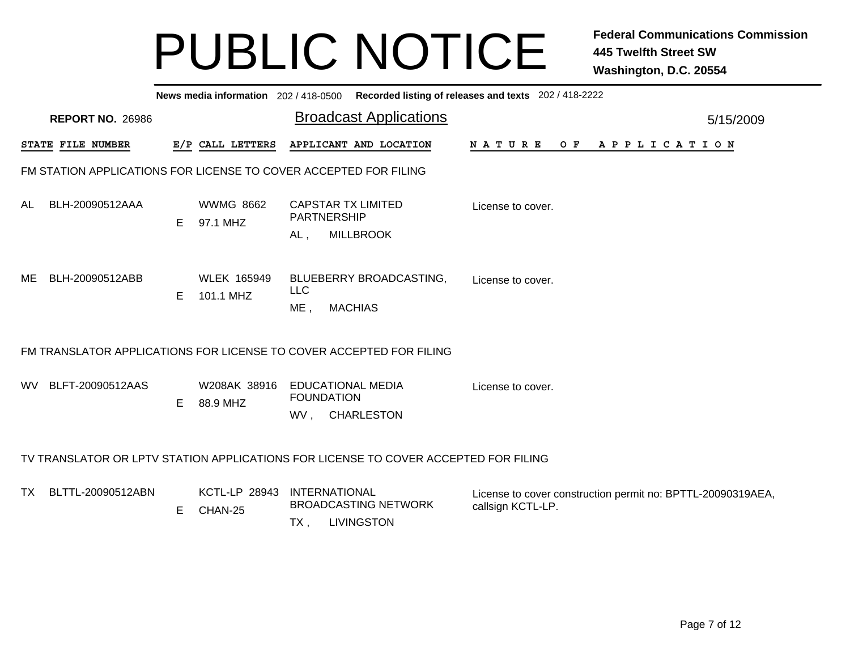|                                                                  | News media information 202/418-0500 Recorded listing of releases and texts 202/418-2222 |   |                                 |                                                                                 |  |                                                                                  |  |  |  |  |  |
|------------------------------------------------------------------|-----------------------------------------------------------------------------------------|---|---------------------------------|---------------------------------------------------------------------------------|--|----------------------------------------------------------------------------------|--|--|--|--|--|
|                                                                  | <b>REPORT NO. 26986</b>                                                                 |   |                                 | <b>Broadcast Applications</b>                                                   |  | 5/15/2009                                                                        |  |  |  |  |  |
|                                                                  | STATE FILE NUMBER                                                                       |   | E/P CALL LETTERS                | APPLICANT AND LOCATION                                                          |  | <b>NATURE</b><br>OF APPLICATION                                                  |  |  |  |  |  |
| FM STATION APPLICATIONS FOR LICENSE TO COVER ACCEPTED FOR FILING |                                                                                         |   |                                 |                                                                                 |  |                                                                                  |  |  |  |  |  |
| AL.                                                              | BLH-20090512AAA                                                                         | E | <b>WWMG 8662</b><br>97.1 MHZ    | <b>CAPSTAR TX LIMITED</b><br><b>PARTNERSHIP</b><br><b>MILLBROOK</b><br>AL,      |  | License to cover.                                                                |  |  |  |  |  |
| ME                                                               | BLH-20090512ABB                                                                         | E | <b>WLEK 165949</b><br>101.1 MHZ | BLUEBERRY BROADCASTING,<br><b>LLC</b><br>$ME$ ,<br><b>MACHIAS</b>               |  | License to cover.                                                                |  |  |  |  |  |
|                                                                  | FM TRANSLATOR APPLICATIONS FOR LICENSE TO COVER ACCEPTED FOR FILING                     |   |                                 |                                                                                 |  |                                                                                  |  |  |  |  |  |
| WV.                                                              | BLFT-20090512AAS                                                                        | E | W208AK 38916<br>88.9 MHZ        | <b>EDUCATIONAL MEDIA</b><br><b>FOUNDATION</b><br>WV, CHARLESTON                 |  | License to cover.                                                                |  |  |  |  |  |
|                                                                  | TV TRANSLATOR OR LPTV STATION APPLICATIONS FOR LICENSE TO COVER ACCEPTED FOR FILING     |   |                                 |                                                                                 |  |                                                                                  |  |  |  |  |  |
| TX.                                                              | BLTTL-20090512ABN                                                                       | Е | <b>KCTL-LP 28943</b><br>CHAN-25 | <b>INTERNATIONAL</b><br><b>BROADCASTING NETWORK</b><br><b>LIVINGSTON</b><br>TX, |  | License to cover construction permit no: BPTTL-20090319AEA,<br>callsign KCTL-LP. |  |  |  |  |  |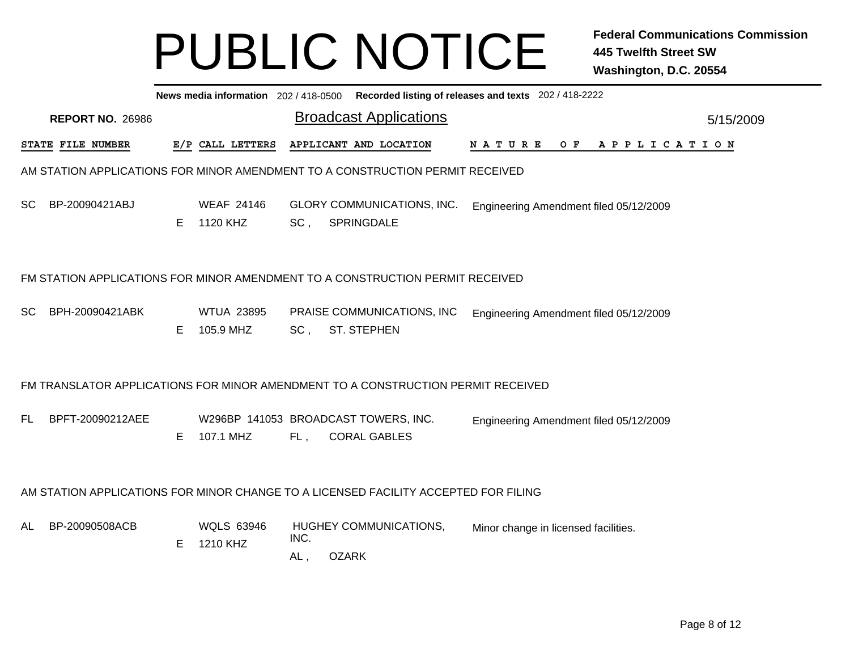| News media information 202/418-0500 Recorded listing of releases and texts 202/418-2222 |    |                                |                              |                     |                                                                                                                                                                                              |                                                                                                                     |  |  |  |  |
|-----------------------------------------------------------------------------------------|----|--------------------------------|------------------------------|---------------------|----------------------------------------------------------------------------------------------------------------------------------------------------------------------------------------------|---------------------------------------------------------------------------------------------------------------------|--|--|--|--|
| <b>REPORT NO. 26986</b>                                                                 |    |                                |                              |                     |                                                                                                                                                                                              | 5/15/2009                                                                                                           |  |  |  |  |
| <b>STATE FILE NUMBER</b>                                                                |    |                                |                              |                     |                                                                                                                                                                                              |                                                                                                                     |  |  |  |  |
| AM STATION APPLICATIONS FOR MINOR AMENDMENT TO A CONSTRUCTION PERMIT RECEIVED           |    |                                |                              |                     |                                                                                                                                                                                              |                                                                                                                     |  |  |  |  |
| BP-20090421ABJ                                                                          | E. | <b>WEAF 24146</b>              | SC,                          | SPRINGDALE          | Engineering Amendment filed 05/12/2009                                                                                                                                                       |                                                                                                                     |  |  |  |  |
| FM STATION APPLICATIONS FOR MINOR AMENDMENT TO A CONSTRUCTION PERMIT RECEIVED           |    |                                |                              |                     |                                                                                                                                                                                              |                                                                                                                     |  |  |  |  |
| BPH-20090421ABK                                                                         | E. | <b>WTUA 23895</b><br>105.9 MHZ | $SC$ ,                       | <b>ST. STEPHEN</b>  | Engineering Amendment filed 05/12/2009                                                                                                                                                       |                                                                                                                     |  |  |  |  |
|                                                                                         |    |                                |                              |                     |                                                                                                                                                                                              |                                                                                                                     |  |  |  |  |
| BPFT-20090212AEE                                                                        | E. | 107.1 MHZ                      | FL,                          | <b>CORAL GABLES</b> | Engineering Amendment filed 05/12/2009                                                                                                                                                       |                                                                                                                     |  |  |  |  |
| AM STATION APPLICATIONS FOR MINOR CHANGE TO A LICENSED FACILITY ACCEPTED FOR FILING     |    |                                |                              |                     |                                                                                                                                                                                              |                                                                                                                     |  |  |  |  |
| BP-20090508ACB                                                                          | Е  | <b>WQLS 63946</b><br>1210 KHZ  | INC.<br>AL,                  | <b>OZARK</b>        | Minor change in licensed facilities.                                                                                                                                                         |                                                                                                                     |  |  |  |  |
|                                                                                         |    |                                | E/P CALL LETTERS<br>1120 KHZ |                     | <b>Broadcast Applications</b><br>APPLICANT AND LOCATION<br><b>GLORY COMMUNICATIONS, INC.</b><br>PRAISE COMMUNICATIONS, INC<br>W296BP 141053 BROADCAST TOWERS, INC.<br>HUGHEY COMMUNICATIONS, | <b>NATURE</b><br>OF APPLICATION<br>FM TRANSLATOR APPLICATIONS FOR MINOR AMENDMENT TO A CONSTRUCTION PERMIT RECEIVED |  |  |  |  |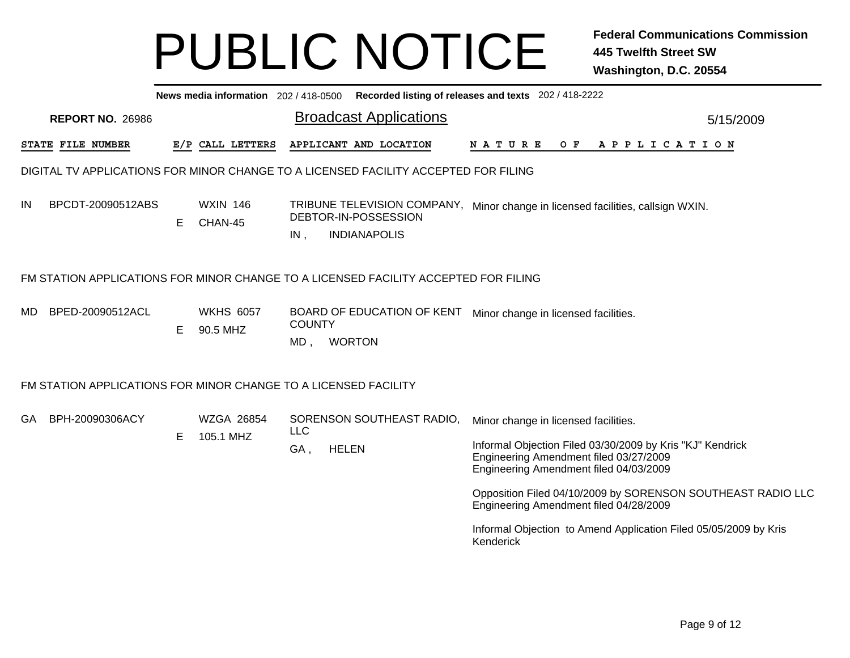|     | News media information 202 / 418-0500 Recorded listing of releases and texts 202 / 418-2222 |    |                              |                       |                                                                                     |                                                                                                                                                                                                                                                                                                                                                                    |           |  |  |  |  |
|-----|---------------------------------------------------------------------------------------------|----|------------------------------|-----------------------|-------------------------------------------------------------------------------------|--------------------------------------------------------------------------------------------------------------------------------------------------------------------------------------------------------------------------------------------------------------------------------------------------------------------------------------------------------------------|-----------|--|--|--|--|
|     | <b>REPORT NO. 26986</b>                                                                     |    |                              |                       | <b>Broadcast Applications</b>                                                       |                                                                                                                                                                                                                                                                                                                                                                    | 5/15/2009 |  |  |  |  |
|     | STATE FILE NUMBER                                                                           |    | E/P CALL LETTERS             |                       | APPLICANT AND LOCATION                                                              | <b>NATURE</b><br>$O$ F<br>A P P L I C A T I O N                                                                                                                                                                                                                                                                                                                    |           |  |  |  |  |
|     |                                                                                             |    |                              |                       | DIGITAL TV APPLICATIONS FOR MINOR CHANGE TO A LICENSED FACILITY ACCEPTED FOR FILING |                                                                                                                                                                                                                                                                                                                                                                    |           |  |  |  |  |
| IN  | BPCDT-20090512ABS                                                                           | E. | <b>WXIN 146</b><br>CHAN-45   | IN,                   | DEBTOR-IN-POSSESSION<br><b>INDIANAPOLIS</b>                                         | TRIBUNE TELEVISION COMPANY, Minor change in licensed facilities, callsign WXIN.                                                                                                                                                                                                                                                                                    |           |  |  |  |  |
|     |                                                                                             |    |                              |                       | FM STATION APPLICATIONS FOR MINOR CHANGE TO A LICENSED FACILITY ACCEPTED FOR FILING |                                                                                                                                                                                                                                                                                                                                                                    |           |  |  |  |  |
| MD. | BPED-20090512ACL                                                                            | E. | <b>WKHS 6057</b><br>90.5 MHZ | <b>COUNTY</b><br>MD , | BOARD OF EDUCATION OF KENT<br><b>WORTON</b>                                         | Minor change in licensed facilities.                                                                                                                                                                                                                                                                                                                               |           |  |  |  |  |
|     | FM STATION APPLICATIONS FOR MINOR CHANGE TO A LICENSED FACILITY                             |    |                              |                       |                                                                                     |                                                                                                                                                                                                                                                                                                                                                                    |           |  |  |  |  |
| GA  | BPH-20090306ACY                                                                             | E. | WZGA 26854<br>105.1 MHZ      | <b>LLC</b><br>GA,     | SORENSON SOUTHEAST RADIO,<br><b>HELEN</b>                                           | Minor change in licensed facilities.<br>Informal Objection Filed 03/30/2009 by Kris "KJ" Kendrick<br>Engineering Amendment filed 03/27/2009<br>Engineering Amendment filed 04/03/2009<br>Opposition Filed 04/10/2009 by SORENSON SOUTHEAST RADIO LLC<br>Engineering Amendment filed 04/28/2009<br>Informal Objection to Amend Application Filed 05/05/2009 by Kris |           |  |  |  |  |
|     |                                                                                             |    |                              |                       |                                                                                     | Kenderick                                                                                                                                                                                                                                                                                                                                                          |           |  |  |  |  |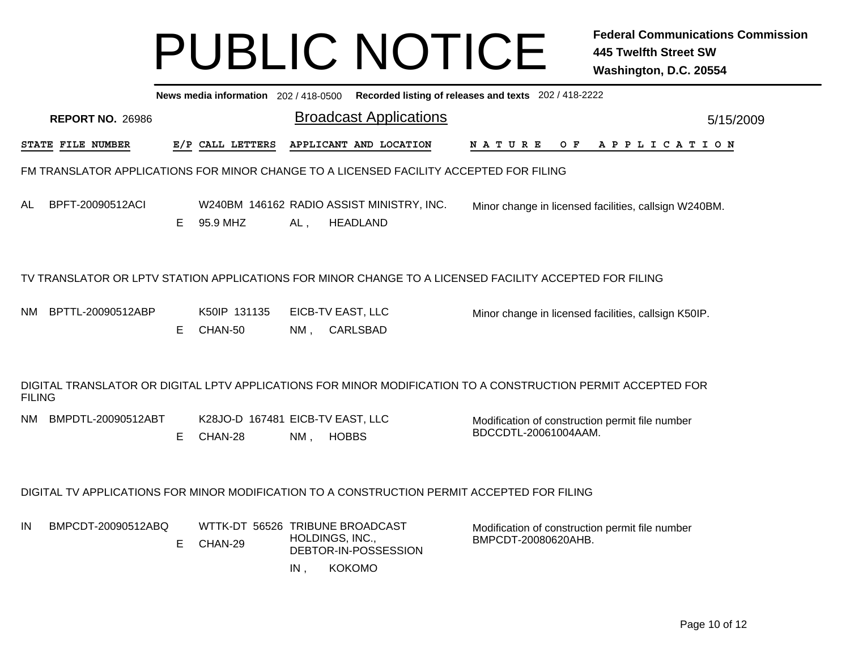|               |                         |    |                                             |        |                                                                                             | News media information 202/418-0500 Recorded listing of releases and texts 202/418-2222                      |           |
|---------------|-------------------------|----|---------------------------------------------|--------|---------------------------------------------------------------------------------------------|--------------------------------------------------------------------------------------------------------------|-----------|
|               | <b>REPORT NO. 26986</b> |    |                                             |        | <b>Broadcast Applications</b>                                                               |                                                                                                              | 5/15/2009 |
|               | STATE FILE NUMBER       |    | E/P CALL LETTERS                            |        | APPLICANT AND LOCATION                                                                      | O F<br>APPLICATION<br>N A T U R E                                                                            |           |
|               |                         |    |                                             |        | FM TRANSLATOR APPLICATIONS FOR MINOR CHANGE TO A LICENSED FACILITY ACCEPTED FOR FILING      |                                                                                                              |           |
| AL            | BPFT-20090512ACI        | Е  | 95.9 MHZ                                    | $AL$ , | W240BM 146162 RADIO ASSIST MINISTRY, INC.<br><b>HEADLAND</b>                                | Minor change in licensed facilities, callsign W240BM.                                                        |           |
|               |                         |    |                                             |        |                                                                                             | TV TRANSLATOR OR LPTV STATION APPLICATIONS FOR MINOR CHANGE TO A LICENSED FACILITY ACCEPTED FOR FILING       |           |
| NM.           | BPTTL-20090512ABP       | Е  | K50IP 131135<br>CHAN-50                     | NM,    | EICB-TV EAST, LLC<br><b>CARLSBAD</b>                                                        | Minor change in licensed facilities, callsign K50IP.                                                         |           |
| <b>FILING</b> |                         |    |                                             |        |                                                                                             | DIGITAL TRANSLATOR OR DIGITAL LPTV APPLICATIONS FOR MINOR MODIFICATION TO A CONSTRUCTION PERMIT ACCEPTED FOR |           |
| NM.           | BMPDTL-20090512ABT      | E. | K28JO-D 167481 EICB-TV EAST, LLC<br>CHAN-28 | $NM$ , | <b>HOBBS</b>                                                                                | Modification of construction permit file number<br>BDCCDTL-20061004AAM.                                      |           |
|               |                         |    |                                             |        | DIGITAL TV APPLICATIONS FOR MINOR MODIFICATION TO A CONSTRUCTION PERMIT ACCEPTED FOR FILING |                                                                                                              |           |
| IN            | BMPCDT-20090512ABQ      | E. | WTTK-DT 56526 TRIBUNE BROADCAST<br>CHAN-29  | IN,    | HOLDINGS, INC.,<br>DEBTOR-IN-POSSESSION<br><b>KOKOMO</b>                                    | Modification of construction permit file number<br>BMPCDT-20080620AHB.                                       |           |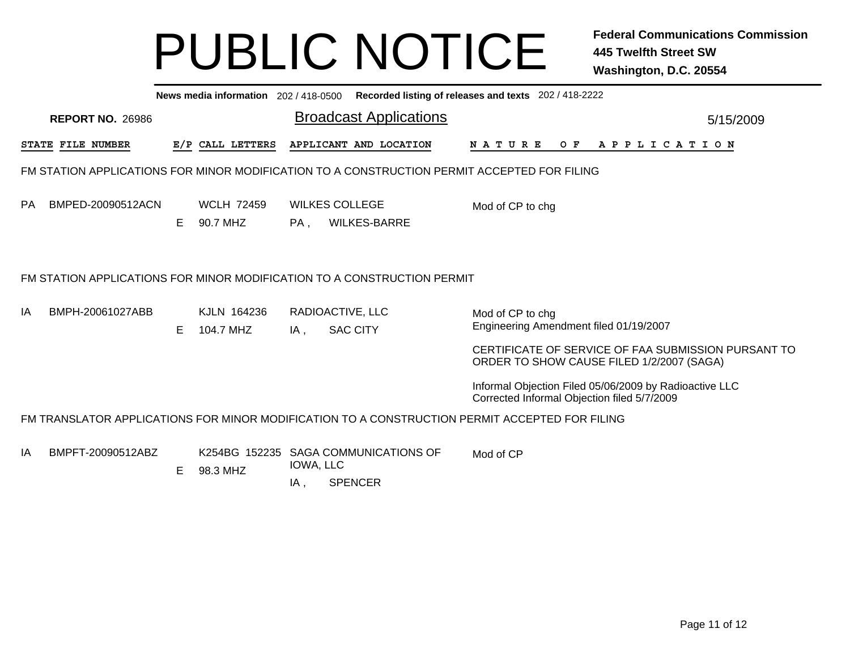|    | News media information 202 / 418-0500 Recorded listing of releases and texts 202 / 418-2222 |    |                               |                  |                                                        |                                                                                                                                                                |           |  |  |  |  |
|----|---------------------------------------------------------------------------------------------|----|-------------------------------|------------------|--------------------------------------------------------|----------------------------------------------------------------------------------------------------------------------------------------------------------------|-----------|--|--|--|--|
|    | <b>REPORT NO. 26986</b>                                                                     |    |                               |                  | <b>Broadcast Applications</b>                          |                                                                                                                                                                | 5/15/2009 |  |  |  |  |
|    | STATE FILE NUMBER                                                                           |    | E/P CALL LETTERS              |                  | APPLICANT AND LOCATION                                 | N A T U R E<br>OF APPLICATION                                                                                                                                  |           |  |  |  |  |
|    | FM STATION APPLICATIONS FOR MINOR MODIFICATION TO A CONSTRUCTION PERMIT ACCEPTED FOR FILING |    |                               |                  |                                                        |                                                                                                                                                                |           |  |  |  |  |
| PA | BMPED-20090512ACN                                                                           | Е  | <b>WCLH 72459</b><br>90.7 MHZ | PA,              | <b>WILKES COLLEGE</b><br><b>WILKES-BARRE</b>           | Mod of CP to chg                                                                                                                                               |           |  |  |  |  |
|    | FM STATION APPLICATIONS FOR MINOR MODIFICATION TO A CONSTRUCTION PERMIT                     |    |                               |                  |                                                        |                                                                                                                                                                |           |  |  |  |  |
| IA | BMPH-20061027ABB                                                                            | E. | KJLN 164236<br>104.7 MHZ      | IA,              | RADIOACTIVE, LLC<br><b>SAC CITY</b>                    | Mod of CP to chg<br>Engineering Amendment filed 01/19/2007<br>CERTIFICATE OF SERVICE OF FAA SUBMISSION PURSANT TO<br>ORDER TO SHOW CAUSE FILED 1/2/2007 (SAGA) |           |  |  |  |  |
|    |                                                                                             |    |                               |                  |                                                        | Informal Objection Filed 05/06/2009 by Radioactive LLC<br>Corrected Informal Objection filed 5/7/2009                                                          |           |  |  |  |  |
|    |                                                                                             |    |                               |                  |                                                        | FM TRANSLATOR APPLICATIONS FOR MINOR MODIFICATION TO A CONSTRUCTION PERMIT ACCEPTED FOR FILING                                                                 |           |  |  |  |  |
| ΙA | BMPFT-20090512ABZ                                                                           | Е  | 98.3 MHZ                      | IOWA, LLC<br>IA, | K254BG 152235 SAGA COMMUNICATIONS OF<br><b>SPENCER</b> | Mod of CP                                                                                                                                                      |           |  |  |  |  |
|    |                                                                                             |    |                               |                  |                                                        |                                                                                                                                                                |           |  |  |  |  |